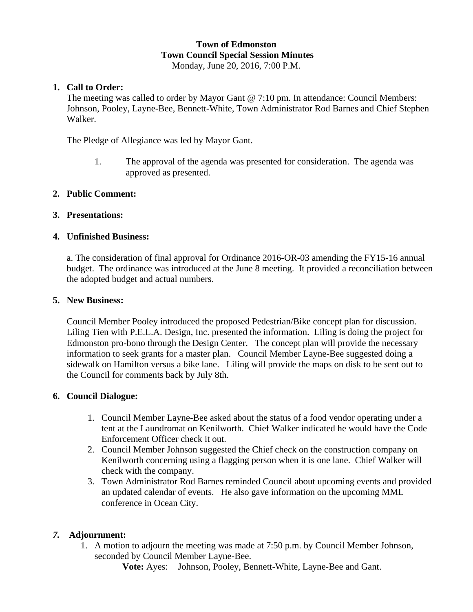#### **Town of Edmonston Town Council Special Session Minutes**  Monday, June 20, 2016, 7:00 P.M.

# **1. Call to Order:**

The meeting was called to order by Mayor Gant @ 7:10 pm. In attendance: Council Members: Johnson, Pooley, Layne-Bee, Bennett-White, Town Administrator Rod Barnes and Chief Stephen Walker.

The Pledge of Allegiance was led by Mayor Gant.

1. The approval of the agenda was presented for consideration. The agenda was approved as presented.

## **2. Public Comment:**

## **3. Presentations:**

## **4. Unfinished Business:**

a. The consideration of final approval for Ordinance 2016-OR-03 amending the FY15-16 annual budget. The ordinance was introduced at the June 8 meeting. It provided a reconciliation between the adopted budget and actual numbers.

#### **5. New Business:**

Council Member Pooley introduced the proposed Pedestrian/Bike concept plan for discussion. Liling Tien with P.E.L.A. Design, Inc. presented the information. Liling is doing the project for Edmonston pro-bono through the Design Center. The concept plan will provide the necessary information to seek grants for a master plan. Council Member Layne-Bee suggested doing a sidewalk on Hamilton versus a bike lane. Liling will provide the maps on disk to be sent out to the Council for comments back by July 8th.

## **6. Council Dialogue:**

- 1. Council Member Layne-Bee asked about the status of a food vendor operating under a tent at the Laundromat on Kenilworth. Chief Walker indicated he would have the Code Enforcement Officer check it out.
- 2. Council Member Johnson suggested the Chief check on the construction company on Kenilworth concerning using a flagging person when it is one lane. Chief Walker will check with the company.
- 3. Town Administrator Rod Barnes reminded Council about upcoming events and provided an updated calendar of events. He also gave information on the upcoming MML conference in Ocean City.

# *7.* **Adjournment:**

1. A motion to adjourn the meeting was made at 7:50 p.m. by Council Member Johnson, seconded by Council Member Layne-Bee.

**Vote:** Ayes: Johnson, Pooley, Bennett-White, Layne-Bee and Gant.